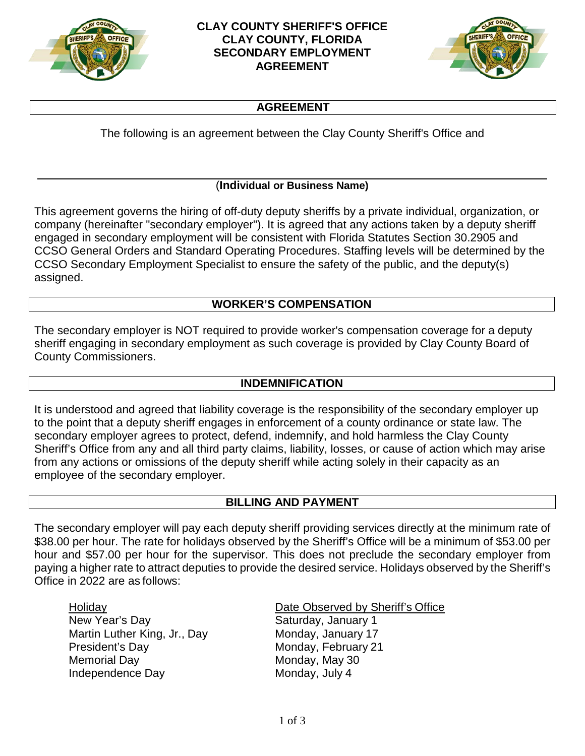



## **AGREEMENT**

The following is an agreement between the Clay County Sheriff's Office and

## (**Individual or Business Name)**

This agreement governs the hiring of off-duty deputy sheriffs by a private individual, organization, or company (hereinafter "secondary employer"). It is agreed that any actions taken by a deputy sheriff engaged in secondary employment will be consistent with Florida Statutes Section 30.2905 and CCSO General Orders and Standard Operating Procedures. Staffing levels will be determined by the CCSO Secondary Employment Specialist to ensure the safety of the public, and the deputy(s) assigned.

### **WORKER'S COMPENSATION**

The secondary employer is NOT required to provide worker's compensation coverage for a deputy sheriff engaging in secondary employment as such coverage is provided by Clay County Board of County Commissioners.

### **INDEMNIFICATION**

It is understood and agreed that liability coverage is the responsibility of the secondary employer up to the point that a deputy sheriff engages in enforcement of a county ordinance or state law. The secondary employer agrees to protect, defend, indemnify, and hold harmless the Clay County Sheriff's Office from any and all third party claims, liability, losses, or cause of action which may arise from any actions or omissions of the deputy sheriff while acting solely in their capacity as an employee of the secondary employer.

## **BILLING AND PAYMENT**

The secondary employer will pay each deputy sheriff providing services directly at the minimum rate of \$38.00 per hour. The rate for holidays observed by the Sheriff's Office will be a minimum of \$53.00 per hour and \$57.00 per hour for the supervisor. This does not preclude the secondary employer from paying a higher rate to attract deputies to provide the desired service. Holidays observed by the Sheriff's Office in 2022 are as follows:

Holiday Date Observed by Sheriff's Office New Year's Day **Saturday**, January 1 Martin Luther King, Jr., Day Monday, January 17 President's Day Monday, February 21 Memorial Day **Monday, May 30** Independence Day Monday, July 4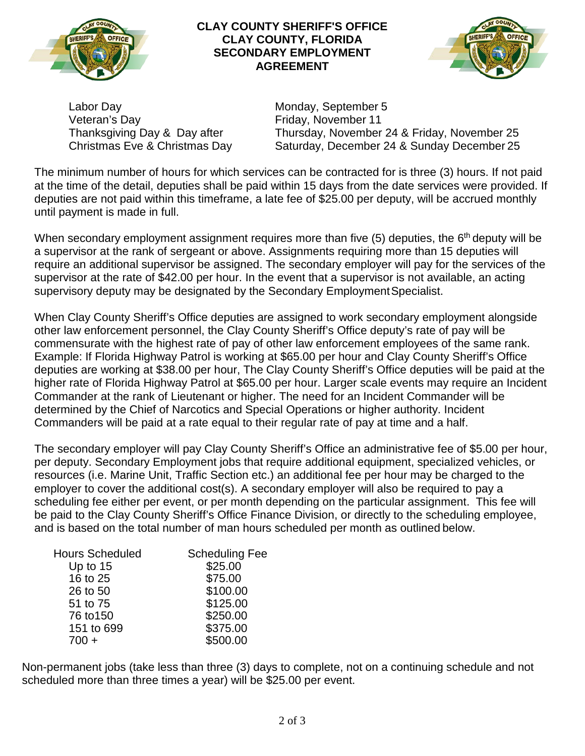

#### **CLAY COUNTY SHERIFF'S OFFICE CLAY COUNTY, FLORIDA SECONDARY EMPLOYMENT AGREEMENT**



Labor Day **Monday, September 5** Veteran's Day **Friday**, November 11

Thanksgiving Day & Day after Thursday, November 24 & Friday, November 25 Christmas Eve & Christmas Day Saturday, December 24 & Sunday December 25

The minimum number of hours for which services can be contracted for is three (3) hours. If not paid at the time of the detail, deputies shall be paid within 15 days from the date services were provided. If deputies are not paid within this timeframe, a late fee of \$25.00 per deputy, will be accrued monthly until payment is made in full.

When secondary employment assignment requires more than five  $(5)$  deputies, the  $6<sup>th</sup>$  deputy will be a supervisor at the rank of sergeant or above. Assignments requiring more than 15 deputies will require an additional supervisor be assigned. The secondary employer will pay for the services of the supervisor at the rate of \$42.00 per hour. In the event that a supervisor is not available, an acting supervisory deputy may be designated by the Secondary Employment Specialist.

When Clay County Sheriff's Office deputies are assigned to work secondary employment alongside other law enforcement personnel, the Clay County Sheriff's Office deputy's rate of pay will be commensurate with the highest rate of pay of other law enforcement employees of the same rank. Example: If Florida Highway Patrol is working at \$65.00 per hour and Clay County Sheriff's Office deputies are working at \$38.00 per hour, The Clay County Sheriff's Office deputies will be paid at the higher rate of Florida Highway Patrol at \$65.00 per hour. Larger scale events may require an Incident Commander at the rank of Lieutenant or higher. The need for an Incident Commander will be determined by the Chief of Narcotics and Special Operations or higher authority. Incident Commanders will be paid at a rate equal to their regular rate of pay at time and a half.

The secondary employer will pay Clay County Sheriff's Office an administrative fee of \$5.00 per hour, per deputy. Secondary Employment jobs that require additional equipment, specialized vehicles, or resources (i.e. Marine Unit, Traffic Section etc.) an additional fee per hour may be charged to the employer to cover the additional cost(s). A secondary employer will also be required to pay a scheduling fee either per event, or per month depending on the particular assignment. This fee will be paid to the Clay County Sheriff's Office Finance Division, or directly to the scheduling employee, and is based on the total number of man hours scheduled per month as outlined below.

| <b>Hours Scheduled</b> | <b>Scheduling Fee</b> |
|------------------------|-----------------------|
| Up to $15$             | \$25.00               |
| 16 to 25               | \$75.00               |
| 26 to 50               | \$100.00              |
| 51 to 75               | \$125.00              |
| 76 to 150              | \$250.00              |
| 151 to 699             | \$375.00              |
| $700 +$                | \$500.00              |

Non-permanent jobs (take less than three (3) days to complete, not on a continuing schedule and not scheduled more than three times a year) will be \$25.00 per event.